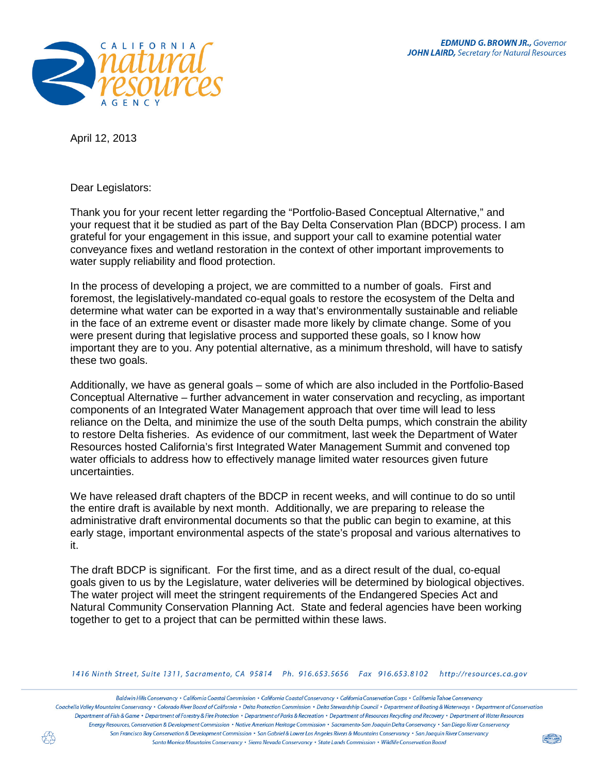

April 12, 2013

Dear Legislators:

Thank you for your recent letter regarding the "Portfolio-Based Conceptual Alternative," and your request that it be studied as part of the Bay Delta Conservation Plan (BDCP) process. I am grateful for your engagement in this issue, and support your call to examine potential water conveyance fixes and wetland restoration in the context of other important improvements to water supply reliability and flood protection.

In the process of developing a project, we are committed to a number of goals. First and foremost, the legislatively-mandated co-equal goals to restore the ecosystem of the Delta and determine what water can be exported in a way that's environmentally sustainable and reliable in the face of an extreme event or disaster made more likely by climate change. Some of you were present during that legislative process and supported these goals, so I know how important they are to you. Any potential alternative, as a minimum threshold, will have to satisfy these two goals.

Additionally, we have as general goals – some of which are also included in the Portfolio-Based Conceptual Alternative – further advancement in water conservation and recycling, as important components of an Integrated Water Management approach that over time will lead to less reliance on the Delta, and minimize the use of the south Delta pumps, which constrain the ability to restore Delta fisheries. As evidence of our commitment, last week the Department of Water Resources hosted California's first Integrated Water Management Summit and convened top water officials to address how to effectively manage limited water resources given future uncertainties.

We have released draft chapters of the BDCP in recent weeks, and will continue to do so until the entire draft is available by next month. Additionally, we are preparing to release the administrative draft environmental documents so that the public can begin to examine, at this early stage, important environmental aspects of the state's proposal and various alternatives to it.

The draft BDCP is significant. For the first time, and as a direct result of the dual, co-equal goals given to us by the Legislature, water deliveries will be determined by biological objectives. The water project will meet the stringent requirements of the Endangered Species Act and Natural Community Conservation Planning Act. State and federal agencies have been working together to get to a project that can be permitted within these laws.

1416 Ninth Street, Suite 1311, Sacramento, CA 95814 Ph. 916.653.5656 Fax 916.653.8102 http://resources.ca.gov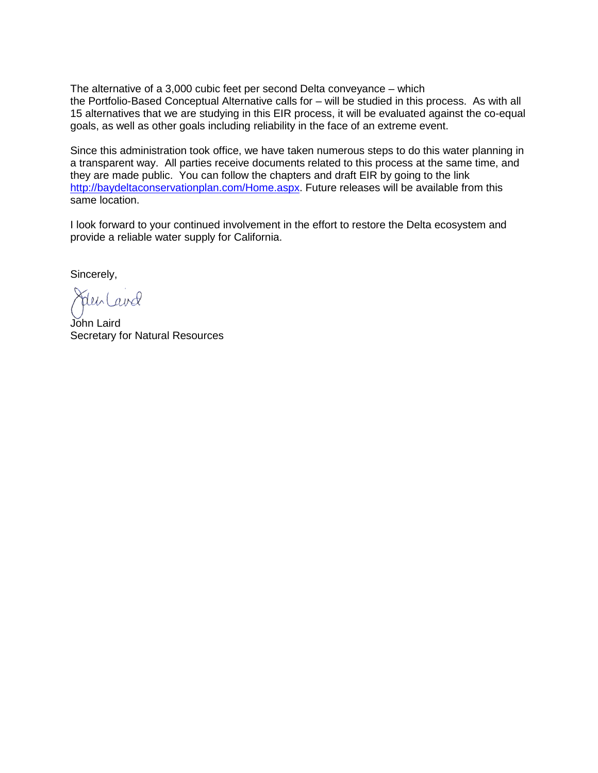The alternative of a 3,000 cubic feet per second Delta conveyance – which the Portfolio-Based Conceptual Alternative calls for – will be studied in this process. As with all 15 alternatives that we are studying in this EIR process, it will be evaluated against the co-equal goals, as well as other goals including reliability in the face of an extreme event.

Since this administration took office, we have taken numerous steps to do this water planning in a transparent way. All parties receive documents related to this process at the same time, and they are made public. You can follow the chapters and draft EIR by going to the link [http://baydeltaconservationplan.com/Home.aspx.](http://baydeltaconservationplan.com/Home.aspx) Future releases will be available from this same location.

I look forward to your continued involvement in the effort to restore the Delta ecosystem and provide a reliable water supply for California.

Sincerely,

Sdenland

John Laird Secretary for Natural Resources